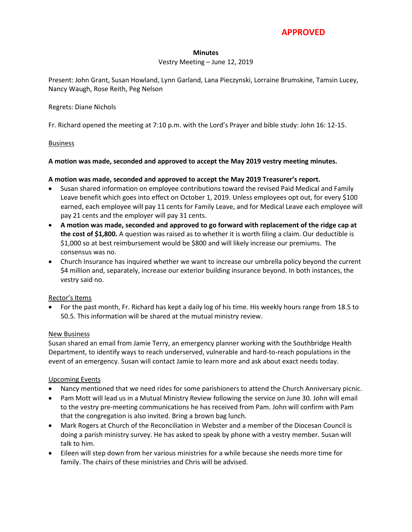# **APPROVED**

#### **Minutes**

### Vestry Meeting – June 12, 2019

Present: John Grant, Susan Howland, Lynn Garland, Lana Pieczynski, Lorraine Brumskine, Tamsin Lucey, Nancy Waugh, Rose Reith, Peg Nelson

#### Regrets: Diane Nichols

Fr. Richard opened the meeting at 7:10 p.m. with the Lord's Prayer and bible study: John 16: 12-15.

#### Business

### **A motion was made, seconded and approved to accept the May 2019 vestry meeting minutes.**

### **A motion was made, seconded and approved to accept the May 2019 Treasurer's report.**

- Susan shared information on employee contributions toward the revised Paid Medical and Family Leave benefit which goes into effect on October 1, 2019. Unless employees opt out, for every \$100 earned, each employee will pay 11 cents for Family Leave, and for Medical Leave each employee will pay 21 cents and the employer will pay 31 cents.
- **A motion was made, seconded and approved to go forward with replacement of the ridge cap at the cost of \$1,800.** A question was raised as to whether it is worth filing a claim. Our deductible is \$1,000 so at best reimbursement would be \$800 and will likely increase our premiums. The consensus was no.
- Church Insurance has inquired whether we want to increase our umbrella policy beyond the current \$4 million and, separately, increase our exterior building insurance beyond. In both instances, the vestry said no.

#### Rector's Items

 For the past month, Fr. Richard has kept a daily log of his time. His weekly hours range from 18.5 to 50.5. This information will be shared at the mutual ministry review.

#### New Business

Susan shared an email from Jamie Terry, an emergency planner working with the Southbridge Health Department, to identify ways to reach underserved, vulnerable and hard-to-reach populations in the event of an emergency. Susan will contact Jamie to learn more and ask about exact needs today.

#### Upcoming Events

- Nancy mentioned that we need rides for some parishioners to attend the Church Anniversary picnic.
- Pam Mott will lead us in a Mutual Ministry Review following the service on June 30. John will email to the vestry pre-meeting communications he has received from Pam. John will confirm with Pam that the congregation is also invited. Bring a brown bag lunch.
- Mark Rogers at Church of the Reconciliation in Webster and a member of the Diocesan Council is doing a parish ministry survey. He has asked to speak by phone with a vestry member. Susan will talk to him.
- Eileen will step down from her various ministries for a while because she needs more time for family. The chairs of these ministries and Chris will be advised.